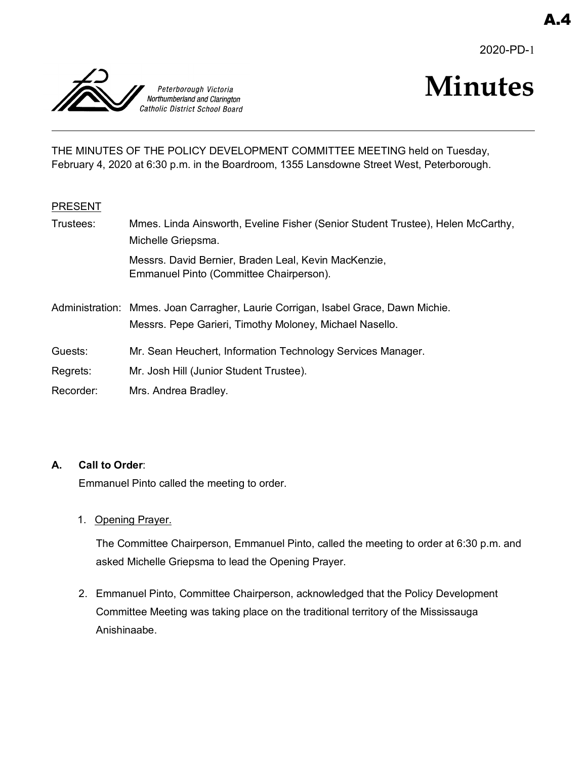2020-PD-1



# **Minutes**

THE MINUTES OF THE POLICY DEVELOPMENT COMMITTEE MEETING held on Tuesday, February 4, 2020 at 6:30 p.m. in the Boardroom, 1355 Lansdowne Street West, Peterborough.

#### PRESENT

| Trustees: | Mmes. Linda Ainsworth, Eveline Fisher (Senior Student Trustee), Helen McCarthy,<br>Michelle Griepsma.                                        |
|-----------|----------------------------------------------------------------------------------------------------------------------------------------------|
|           | Messrs. David Bernier, Braden Leal, Kevin MacKenzie,<br>Emmanuel Pinto (Committee Chairperson).                                              |
|           | Administration: Mmes. Joan Carragher, Laurie Corrigan, Isabel Grace, Dawn Michie.<br>Messrs. Pepe Garieri, Timothy Moloney, Michael Nasello. |
| Guests:   | Mr. Sean Heuchert, Information Technology Services Manager.                                                                                  |
| Regrets:  | Mr. Josh Hill (Junior Student Trustee).                                                                                                      |
| Recorder: | Mrs. Andrea Bradley.                                                                                                                         |

#### **A. Call to Order**:

Emmanuel Pinto called the meeting to order.

1. Opening Prayer.

The Committee Chairperson, Emmanuel Pinto, called the meeting to order at 6:30 p.m. and asked Michelle Griepsma to lead the Opening Prayer.

2. Emmanuel Pinto, Committee Chairperson, acknowledged that the Policy Development Committee Meeting was taking place on the traditional territory of the Mississauga Anishinaabe.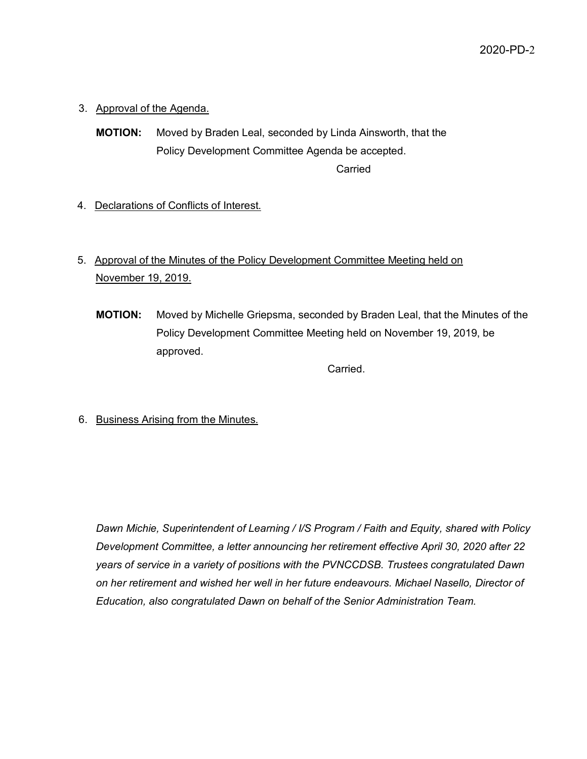# 3. Approval of the Agenda.

**MOTION:** Moved by Braden Leal, seconded by Linda Ainsworth, that the Policy Development Committee Agenda be accepted. Carried

- 4. Declarations of Conflicts of Interest.
- 5. Approval of the Minutes of the Policy Development Committee Meeting held on November 19, 2019.
	- **MOTION:** Moved by Michelle Griepsma, seconded by Braden Leal, that the Minutes of the Policy Development Committee Meeting held on November 19, 2019, be approved.

Carried.

6. Business Arising from the Minutes.

*Dawn Michie, Superintendent of Learning / I/S Program / Faith and Equity, shared with Policy Development Committee, a letter announcing her retirement effective April 30, 2020 after 22 years of service in a variety of positions with the PVNCCDSB. Trustees congratulated Dawn on her retirement and wished her well in her future endeavours. Michael Nasello, Director of Education, also congratulated Dawn on behalf of the Senior Administration Team.*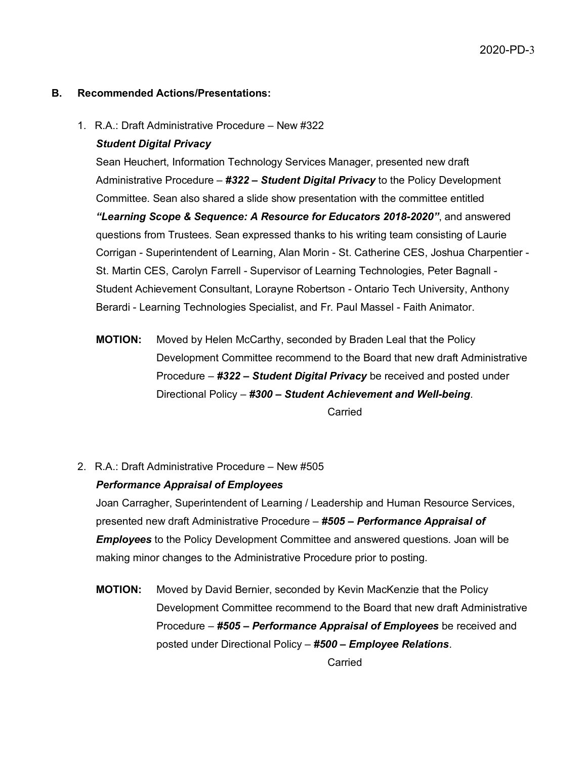#### **B. Recommended Actions/Presentations:**

1. R.A.: Draft Administrative Procedure – New #322

#### *Student Digital Privacy*

Sean Heuchert, Information Technology Services Manager, presented new draft Administrative Procedure – *#322 – Student Digital Privacy* to the Policy Development Committee. Sean also shared a slide show presentation with the committee entitled *"Learning Scope & Sequence: A Resource for Educators 2018-2020"*, and answered questions from Trustees. Sean expressed thanks to his writing team consisting of Laurie Corrigan - Superintendent of Learning, Alan Morin - St. Catherine CES, Joshua Charpentier - St. Martin CES, Carolyn Farrell - Supervisor of Learning Technologies, Peter Bagnall - Student Achievement Consultant, Lorayne Robertson - Ontario Tech University, Anthony Berardi - Learning Technologies Specialist, and Fr. Paul Massel - Faith Animator.

- **MOTION:** Moved by Helen McCarthy, seconded by Braden Leal that the Policy Development Committee recommend to the Board that new draft Administrative Procedure – *#322 – Student Digital Privacy* be received and posted under Directional Policy – *#300 – Student Achievement and Well-being*. Carried
- 2. R.A.: Draft Administrative Procedure New #505

# *Performance Appraisal of Employees*

Joan Carragher, Superintendent of Learning / Leadership and Human Resource Services, presented new draft Administrative Procedure – *#505 – Performance Appraisal of Employees* to the Policy Development Committee and answered questions. Joan will be making minor changes to the Administrative Procedure prior to posting.

**MOTION:** Moved by David Bernier, seconded by Kevin MacKenzie that the Policy Development Committee recommend to the Board that new draft Administrative Procedure – *#505 – Performance Appraisal of Employees* be received and posted under Directional Policy – *#500 – Employee Relations*. **Carried**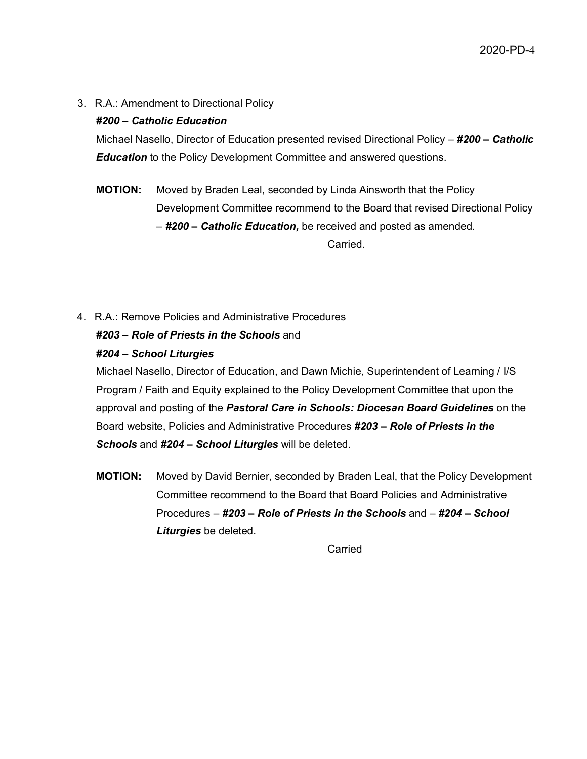3. R.A.: Amendment to Directional Policy

## *#200 – Catholic Education*

Michael Nasello, Director of Education presented revised Directional Policy – *#200 – Catholic Education* to the Policy Development Committee and answered questions.

- **MOTION:** Moved by Braden Leal, seconded by Linda Ainsworth that the Policy Development Committee recommend to the Board that revised Directional Policy – *#200 – Catholic Education,* be received and posted as amended. Carried.
- 4. R.A.: Remove Policies and Administrative Procedures *#203 – Role of Priests in the Schools* and

# *#204 – School Liturgies*

Michael Nasello, Director of Education, and Dawn Michie, Superintendent of Learning / I/S Program / Faith and Equity explained to the Policy Development Committee that upon the approval and posting of the *Pastoral Care in Schools: Diocesan Board Guidelines* on the Board website, Policies and Administrative Procedures *#203 – Role of Priests in the Schools* and *#204 – School Liturgies* will be deleted.

**MOTION:** Moved by David Bernier, seconded by Braden Leal, that the Policy Development Committee recommend to the Board that Board Policies and Administrative Procedures – *#203 – Role of Priests in the Schools* and – *#204 – School Liturgies* be deleted.

Carried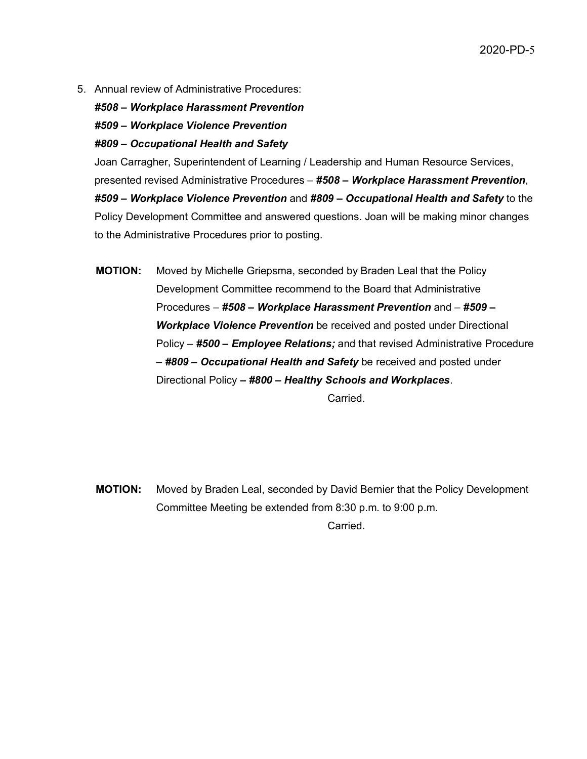5. Annual review of Administrative Procedures:

*#508 – Workplace Harassment Prevention*

*#509 – Workplace Violence Prevention*

*#809 – Occupational Health and Safety*

Joan Carragher, Superintendent of Learning / Leadership and Human Resource Services, presented revised Administrative Procedures – *#508 – Workplace Harassment Prevention*, *#509 – Workplace Violence Prevention* and *#809 – Occupational Health and Safety* to the Policy Development Committee and answered questions. Joan will be making minor changes to the Administrative Procedures prior to posting.

**MOTION:** Moved by Michelle Griepsma, seconded by Braden Leal that the Policy Development Committee recommend to the Board that Administrative Procedures – *#508 – Workplace Harassment Prevention* and – *#509 – Workplace Violence Prevention* be received and posted under Directional Policy – *#500 – Employee Relations;* and that revised Administrative Procedure – *#809 – Occupational Health and Safety* be received and posted under Directional Policy *– #800 – Healthy Schools and Workplaces*. **Carried** 

**MOTION:** Moved by Braden Leal, seconded by David Bernier that the Policy Development Committee Meeting be extended from 8:30 p.m. to 9:00 p.m.

**Carried**